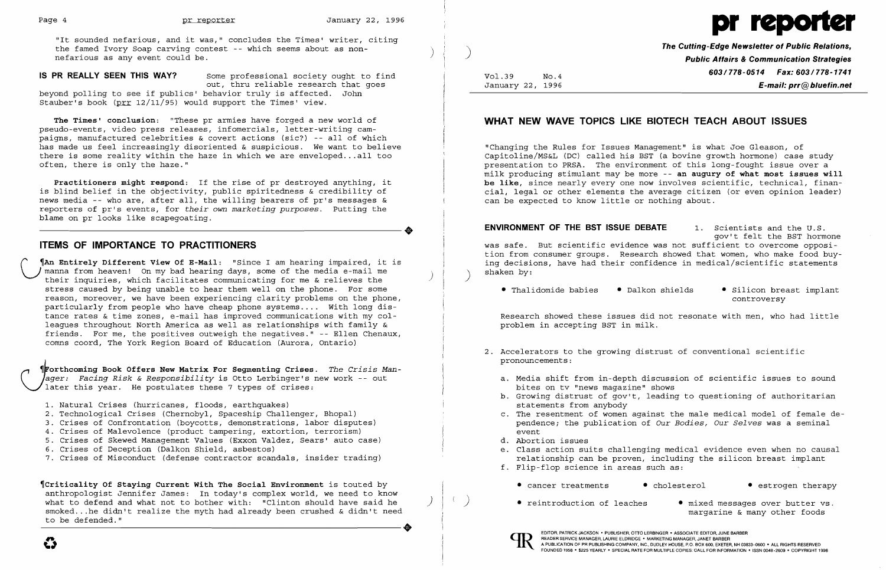"It sounded nefarious, and it was," concludes the Times' writer, citing<br>the famed Ivory Soap carving contest -- which seems about as non-<br>nefarious as any event could be. **All any propose of the Cutting-Edge Newsletter of** 



**IS PR REALLY SEEN THIS WAY?** Some professional society ought to find out, thru reliable research that goes beyond polling to see if publics' behavior truly is affected. John Stauber's book (prr 12/11/95) would support the Times' view.

**The Times' conclusion:** "These pr armies have forged a new world of pseudo-events, video press releases, infomercials, letter-writing campaigns, manufactured celebrities & covert actions (sic?) -- all of which has made us feel increasingly disoriented & suspicious. We want to believe there is some reality within the haze in which we are enveloped ... all too often, there is only the haze."

**Practitioners might respond:** If the rise of pr destroyed anything, it is blind belief in the objectivity, public spiritedness & credibility of news media -- who are, after all, the willing bearers of pr's messages & reporters of pr's events, for *their* own *marketing purposes.* Putting the ----------------------+ blame on pr looks like scapegoating.

**T**orthcoming Book Offers New Matrix For Segmenting Crises. The Crisis Man*ager: Facing Risk* & *Responsibility* is Otto Lerbinger's new work -- out later this year. He postulates these 7 types of crises:

## **ITEMS OF IMPORTANCE TO PRACTITIONERS**

- 1. Natural Crises (hurricanes, floods, earthquakes)
- 2. Technological Crises (Chernobyl, Spaceship Challenger, Bhopal)
- 3. Crises of Confrontation (boycotts, demonstrations, labor disputes)
- 4. Crises of Malevolence (product tampering, extortion, terrorism)
- 5. Crises of Skewed Management Values (Exxon Valdez, Sears' auto case)
- 6. Crises of Deception (Dalkon Shield, asbestos)
- 7. Crises of Misconduct (defense contractor scandals, insider trading)

Vol.39 No.4 **603/778-0514 Fax: 603/778-1741** January 22, 1996 **E-mail: prr@bluefin.net** 

( **'An Entirely Different View Of E-Mail:** "Since I am hearing impaired, it is manna from heaven! On my bad hearing days, some of the media e-mail me<br>their inquiries, which facilitates communicating for me & relieves the stress caused by being unable to hear them well on the phone. For some reason, moreover, we have been experiencing clarity problems on the phone, particularly from people who have cheap phone systems .... With long distance rates & time zones, e-mail has improved communications with my colleagues throughout North America as well as relationships with family & friends. For me, the positives outweigh the negatives." -- Ellen Chenaux, comns coord, The York Region Board of Education (Aurora, Ontario)

• Thalidomide babies • Dalkon shields • Silicon breast implant controversy

• reintroduction of leaches • mixed messages over butter vs. margarine & many other foods

~Criticality **Of Staying Current With The Social Environment** is touted by anthropologist Jennifer James: In today's complex world, we need to know what to defend and what not to bother with: "Clinton should have said he what to defend and what not to bother with: "Clinton should have said he<br>smoked...he didn't realize the myth had already been crushed & didn't need<br>to be defended." to be defended."

e

# **WHAT NEW WAVE TOPICS LIKE BIOTECH TEACH ABOUT ISSUES**

"Changing the Rules for Issues Management" is what Joe Gleason, of Capitoline/MS&L (DC) called his BST (a bovine growth hormone) case study presentation to PRSA. The environment of this long-fought issue over a milk producing stimulant may be more -- **an augury of what most issues will**  be like, since nearly every one now involves scientific, technical, financial, legal or other elements the average citizen (or even opinion leader) can be expected to know little or nothing about.

**ENVIRONMENT OF THE BST ISSUE DEBATE** 1. Scientists and the U. S. gov't felt the BST hormone was safe. But scientific evidence was not sufficient to overcome opposition from consumer groups. Research showed that women, who make food buying decisions, have had their confidence in medical/scientific statements shaken by: )

Research showed these issues did not resonate with men, who had little problem in accepting BST in milk.

a. Media shift from in-depth discussion of scientific issues to sound b. Growing distrust of gov't, leading to questioning of authoritarian

- 2. Accelerators to the growing distrust of conventional scientific pronouncements:
	- bites on tv "news magazine" shows
	- statements from anybody
	- event
	- d. Abortion issues
	-
	- f. Flip-flop science in areas such as:
		-
		-



c. The resentment of women against the male medical model of female dependence; the publication of *Our Bodies, Our Selves* was a seminal

e. Class action suits challenging medical evidence even when no causal relationship can be proven, including the silicon breast implant

• cancer treatments • cholesterol • estrogen therapy